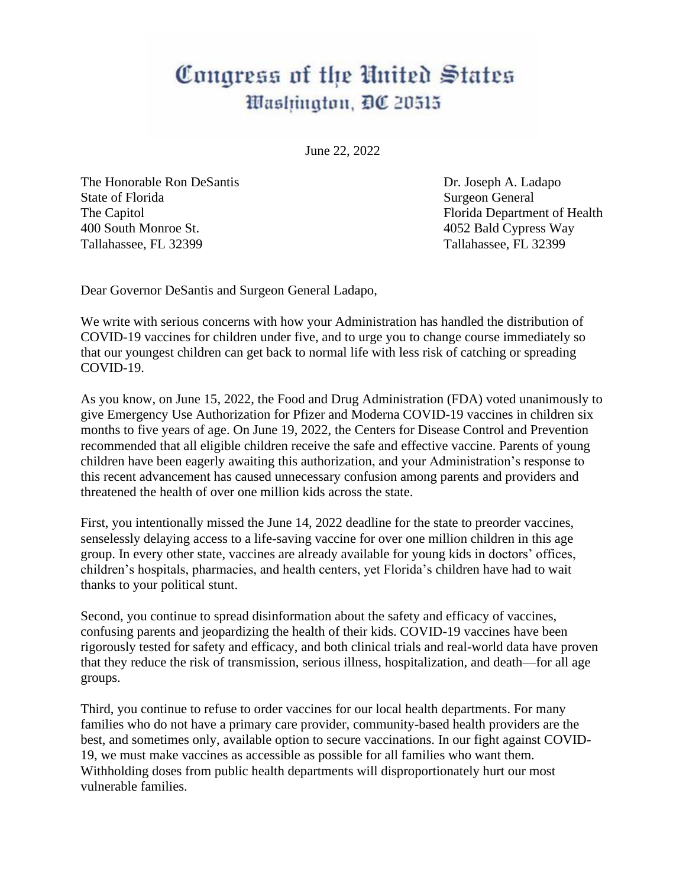## Congress of the United States Washington, DC 20515

June 22, 2022

The Honorable Ron DeSantis Dr. Joseph A. Ladapo State of Florida Surgeon General 400 South Monroe St. 4052 Bald Cypress Way Tallahassee, FL 32399 Tallahassee, FL 32399

The Capitol Florida Department of Health

Dear Governor DeSantis and Surgeon General Ladapo,

We write with serious concerns with how your Administration has handled the distribution of COVID-19 vaccines for children under five, and to urge you to change course immediately so that our youngest children can get back to normal life with less risk of catching or spreading COVID-19.

As you know, on June 15, 2022, the Food and Drug Administration (FDA) voted unanimously to give Emergency Use Authorization for Pfizer and Moderna COVID-19 vaccines in children six months to five years of age. On June 19, 2022, the Centers for Disease Control and Prevention recommended that all eligible children receive the safe and effective vaccine. Parents of young children have been eagerly awaiting this authorization, and your Administration's response to this recent advancement has caused unnecessary confusion among parents and providers and threatened the health of over one million kids across the state.

First, you intentionally missed the June 14, 2022 deadline for the state to preorder vaccines, senselessly delaying access to a life-saving vaccine for over one million children in this age group. In every other state, vaccines are already available for young kids in doctors' offices, children's hospitals, pharmacies, and health centers, yet Florida's children have had to wait thanks to your political stunt.

Second, you continue to spread disinformation about the safety and efficacy of vaccines, confusing parents and jeopardizing the health of their kids. COVID-19 vaccines have been rigorously tested for safety and efficacy, and both clinical trials and real-world data have proven that they reduce the risk of transmission, serious illness, hospitalization, and death—for all age groups.

Third, you continue to refuse to order vaccines for our local health departments. For many families who do not have a primary care provider, community-based health providers are the best, and sometimes only, available option to secure vaccinations. In our fight against COVID-19, we must make vaccines as accessible as possible for all families who want them. Withholding doses from public health departments will disproportionately hurt our most vulnerable families.